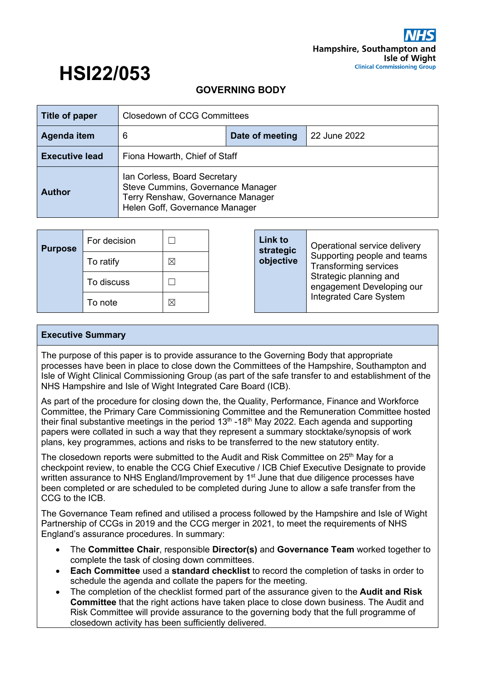# **HSI22/053 GOVERNING BODY**

| Title of paper                                                                                                                                            | <b>Closedown of CCG Committees</b> |                 |              |
|-----------------------------------------------------------------------------------------------------------------------------------------------------------|------------------------------------|-----------------|--------------|
| Agenda item                                                                                                                                               | 6                                  | Date of meeting | 22 June 2022 |
| <b>Executive lead</b>                                                                                                                                     | Fiona Howarth, Chief of Staff      |                 |              |
| Ian Corless, Board Secretary<br>Steve Cummins, Governance Manager<br><b>Author</b><br>Terry Renshaw, Governance Manager<br>Helen Goff, Governance Manager |                                    |                 |              |

| <b>Purpose</b> | For decision |   | Link to<br>strategic | Operational service delivery                                |
|----------------|--------------|---|----------------------|-------------------------------------------------------------|
|                | To ratify    | ⊠ | objective            | Supporting people and teams<br><b>Transforming services</b> |
|                | To discuss   |   |                      | Strategic planning and<br>engagement Developing our         |
|                | To note      | ⊠ |                      | <b>Integrated Care System</b>                               |

#### **Executive Summary**

The purpose of this paper is to provide assurance to the Governing Body that appropriate processes have been in place to close down the Committees of the Hampshire, Southampton and Isle of Wight Clinical Commissioning Group (as part of the safe transfer to and establishment of the NHS Hampshire and Isle of Wight Integrated Care Board (ICB).

As part of the procedure for closing down the, the Quality, Performance, Finance and Workforce Committee, the Primary Care Commissioning Committee and the Remuneration Committee hosted their final substantive meetings in the period  $13<sup>th</sup>$  -18<sup>th</sup> May 2022. Each agenda and supporting papers were collated in such a way that they represent a summary stocktake/synopsis of work plans, key programmes, actions and risks to be transferred to the new statutory entity.

The closedown reports were submitted to the Audit and Risk Committee on  $25<sup>th</sup>$  May for a checkpoint review, to enable the CCG Chief Executive / ICB Chief Executive Designate to provide written assurance to NHS England/Improvement by 1<sup>st</sup> June that due diligence processes have been completed or are scheduled to be completed during June to allow a safe transfer from the CCG to the ICB.

The Governance Team refined and utilised a process followed by the Hampshire and Isle of Wight Partnership of CCGs in 2019 and the CCG merger in 2021, to meet the requirements of NHS England's assurance procedures. In summary:

- The **Committee Chair**, responsible **Director(s)** and **Governance Team** worked together to complete the task of closing down committees.
- **Each Committee** used a **standard checklist** to record the completion of tasks in order to schedule the agenda and collate the papers for the meeting.
- The completion of the checklist formed part of the assurance given to the **Audit and Risk Committee** that the right actions have taken place to close down business. The Audit and Risk Committee will provide assurance to the governing body that the full programme of closedown activity has been sufficiently delivered.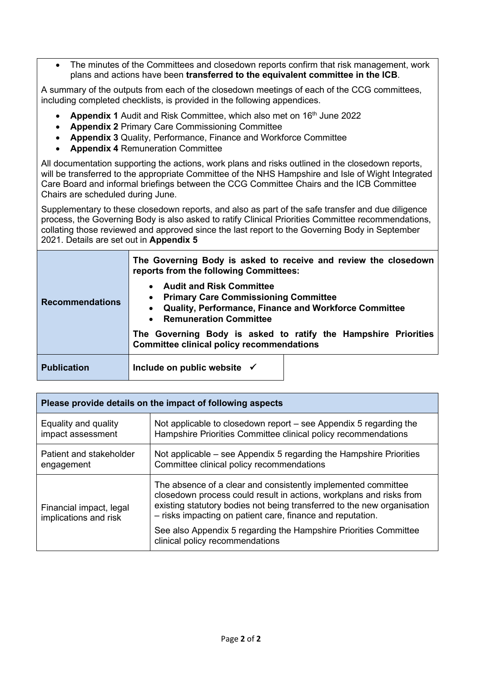• The minutes of the Committees and closedown reports confirm that risk management, work plans and actions have been **transferred to the equivalent committee in the ICB**.

A summary of the outputs from each of the closedown meetings of each of the CCG committees, including completed checklists, is provided in the following appendices.

- **Appendix 1** Audit and Risk Committee, which also met on 16<sup>th</sup> June 2022
- **Appendix 2** Primary Care Commissioning Committee
- **Appendix 3** Quality, Performance, Finance and Workforce Committee
- **Appendix 4** Remuneration Committee

All documentation supporting the actions, work plans and risks outlined in the closedown reports, will be transferred to the appropriate Committee of the NHS Hampshire and Isle of Wight Integrated Care Board and informal briefings between the CCG Committee Chairs and the ICB Committee Chairs are scheduled during June.

Supplementary to these closedown reports, and also as part of the safe transfer and due diligence process, the Governing Body is also asked to ratify Clinical Priorities Committee recommendations, collating those reviewed and approved since the last report to the Governing Body in September 2021. Details are set out in **Appendix 5**

|                        | The Governing Body is asked to receive and review the closedown<br>reports from the following Committees:                                                                |
|------------------------|--------------------------------------------------------------------------------------------------------------------------------------------------------------------------|
| <b>Recommendations</b> | <b>Audit and Risk Committee</b><br><b>Primary Care Commissioning Committee</b><br>Quality, Performance, Finance and Workforce Committee<br><b>Remuneration Committee</b> |
|                        | The Governing Body is asked to ratify the Hampshire Priorities<br><b>Committee clinical policy recommendations</b>                                                       |
| <b>Publication</b>     | Include on public website $\checkmark$                                                                                                                                   |

| Please provide details on the impact of following aspects |                                                                                                                                                                                                                                                                               |  |
|-----------------------------------------------------------|-------------------------------------------------------------------------------------------------------------------------------------------------------------------------------------------------------------------------------------------------------------------------------|--|
| Equality and quality<br>impact assessment                 | Not applicable to closedown report - see Appendix 5 regarding the<br>Hampshire Priorities Committee clinical policy recommendations                                                                                                                                           |  |
| Patient and stakeholder<br>engagement                     | Not applicable – see Appendix 5 regarding the Hampshire Priorities<br>Committee clinical policy recommendations                                                                                                                                                               |  |
| Financial impact, legal<br>implications and risk          | The absence of a clear and consistently implemented committee<br>closedown process could result in actions, workplans and risks from<br>existing statutory bodies not being transferred to the new organisation<br>- risks impacting on patient care, finance and reputation. |  |
|                                                           | See also Appendix 5 regarding the Hampshire Priorities Committee<br>clinical policy recommendations                                                                                                                                                                           |  |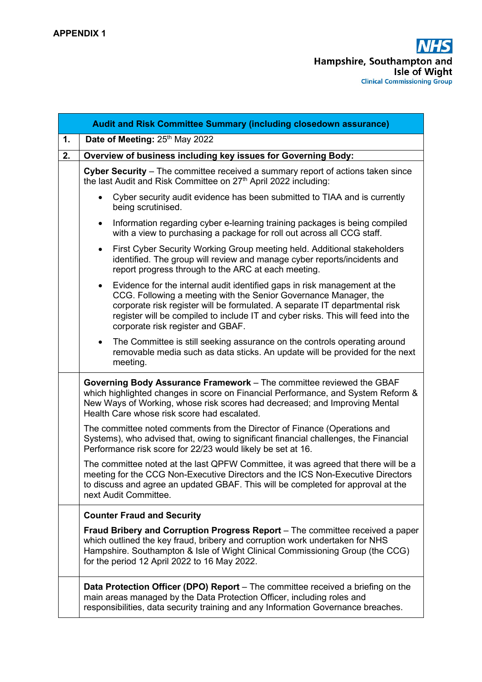|    | Audit and Risk Committee Summary (including closedown assurance)                                                                                                                                                                                                                                                                                                   |
|----|--------------------------------------------------------------------------------------------------------------------------------------------------------------------------------------------------------------------------------------------------------------------------------------------------------------------------------------------------------------------|
| 1. | Date of Meeting: 25th May 2022                                                                                                                                                                                                                                                                                                                                     |
| 2. | Overview of business including key issues for Governing Body:                                                                                                                                                                                                                                                                                                      |
|    | Cyber Security – The committee received a summary report of actions taken since<br>the last Audit and Risk Committee on 27 <sup>th</sup> April 2022 including:                                                                                                                                                                                                     |
|    | Cyber security audit evidence has been submitted to TIAA and is currently<br>being scrutinised.                                                                                                                                                                                                                                                                    |
|    | Information regarding cyber e-learning training packages is being compiled<br>$\bullet$<br>with a view to purchasing a package for roll out across all CCG staff.                                                                                                                                                                                                  |
|    | First Cyber Security Working Group meeting held. Additional stakeholders<br>$\bullet$<br>identified. The group will review and manage cyber reports/incidents and<br>report progress through to the ARC at each meeting.                                                                                                                                           |
|    | Evidence for the internal audit identified gaps in risk management at the<br>$\bullet$<br>CCG. Following a meeting with the Senior Governance Manager, the<br>corporate risk register will be formulated. A separate IT departmental risk<br>register will be compiled to include IT and cyber risks. This will feed into the<br>corporate risk register and GBAF. |
|    | The Committee is still seeking assurance on the controls operating around<br>$\bullet$<br>removable media such as data sticks. An update will be provided for the next<br>meeting.                                                                                                                                                                                 |
|    | Governing Body Assurance Framework - The committee reviewed the GBAF<br>which highlighted changes in score on Financial Performance, and System Reform &<br>New Ways of Working, whose risk scores had decreased; and Improving Mental<br>Health Care whose risk score had escalated.                                                                              |
|    | The committee noted comments from the Director of Finance (Operations and<br>Systems), who advised that, owing to significant financial challenges, the Financial<br>Performance risk score for 22/23 would likely be set at 16.                                                                                                                                   |
|    | The committee noted at the last QPFW Committee, it was agreed that there will be a<br>meeting for the CCG Non-Executive Directors and the ICS Non-Executive Directors<br>to discuss and agree an updated GBAF. This will be completed for approval at the<br>next Audit Committee.                                                                                 |
|    | <b>Counter Fraud and Security</b>                                                                                                                                                                                                                                                                                                                                  |
|    | Fraud Bribery and Corruption Progress Report – The committee received a paper<br>which outlined the key fraud, bribery and corruption work undertaken for NHS<br>Hampshire. Southampton & Isle of Wight Clinical Commissioning Group (the CCG)<br>for the period 12 April 2022 to 16 May 2022.                                                                     |
|    | <b>Data Protection Officer (DPO) Report</b> – The committee received a briefing on the<br>main areas managed by the Data Protection Officer, including roles and<br>responsibilities, data security training and any Information Governance breaches.                                                                                                              |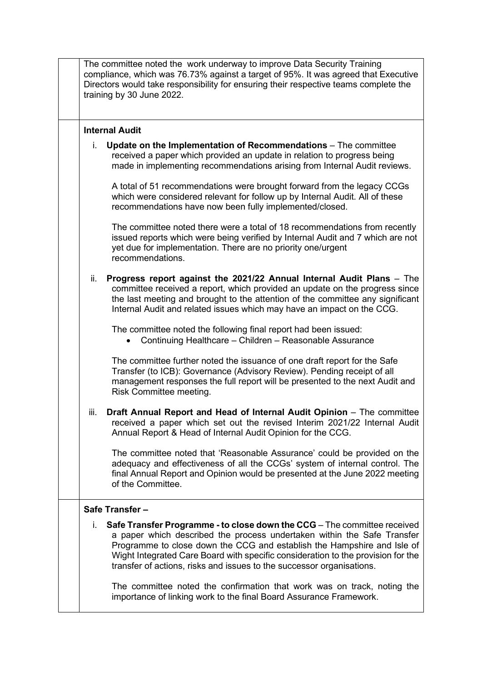|      | The committee noted the work underway to improve Data Security Training<br>compliance, which was 76.73% against a target of 95%. It was agreed that Executive<br>Directors would take responsibility for ensuring their respective teams complete the<br>training by 30 June 2022.                                                                                                          |
|------|---------------------------------------------------------------------------------------------------------------------------------------------------------------------------------------------------------------------------------------------------------------------------------------------------------------------------------------------------------------------------------------------|
|      | <b>Internal Audit</b>                                                                                                                                                                                                                                                                                                                                                                       |
| i.   | Update on the Implementation of Recommendations - The committee<br>received a paper which provided an update in relation to progress being<br>made in implementing recommendations arising from Internal Audit reviews.                                                                                                                                                                     |
|      | A total of 51 recommendations were brought forward from the legacy CCGs<br>which were considered relevant for follow up by Internal Audit. All of these<br>recommendations have now been fully implemented/closed.                                                                                                                                                                          |
|      | The committee noted there were a total of 18 recommendations from recently<br>issued reports which were being verified by Internal Audit and 7 which are not<br>yet due for implementation. There are no priority one/urgent<br>recommendations.                                                                                                                                            |
| ii.  | Progress report against the 2021/22 Annual Internal Audit Plans - The<br>committee received a report, which provided an update on the progress since<br>the last meeting and brought to the attention of the committee any significant<br>Internal Audit and related issues which may have an impact on the CCG.                                                                            |
|      | The committee noted the following final report had been issued:<br>Continuing Healthcare - Children - Reasonable Assurance                                                                                                                                                                                                                                                                  |
|      | The committee further noted the issuance of one draft report for the Safe<br>Transfer (to ICB): Governance (Advisory Review). Pending receipt of all<br>management responses the full report will be presented to the next Audit and<br>Risk Committee meeting.                                                                                                                             |
| iii. | Draft Annual Report and Head of Internal Audit Opinion - The committee<br>received a paper which set out the revised Interim 2021/22 Internal Audit<br>Annual Report & Head of Internal Audit Opinion for the CCG.                                                                                                                                                                          |
|      | The committee noted that 'Reasonable Assurance' could be provided on the<br>adequacy and effectiveness of all the CCGs' system of internal control. The<br>final Annual Report and Opinion would be presented at the June 2022 meeting<br>of the Committee.                                                                                                                                 |
|      | Safe Transfer-                                                                                                                                                                                                                                                                                                                                                                              |
| i.   | Safe Transfer Programme - to close down the CCG - The committee received<br>a paper which described the process undertaken within the Safe Transfer<br>Programme to close down the CCG and establish the Hampshire and Isle of<br>Wight Integrated Care Board with specific consideration to the provision for the<br>transfer of actions, risks and issues to the successor organisations. |
|      | The committee noted the confirmation that work was on track, noting the<br>importance of linking work to the final Board Assurance Framework.                                                                                                                                                                                                                                               |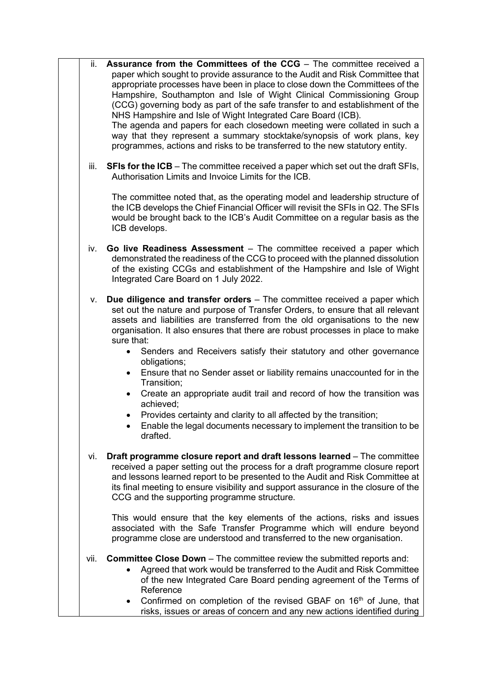| ii.  | Assurance from the Committees of the CCG - The committee received a<br>paper which sought to provide assurance to the Audit and Risk Committee that<br>appropriate processes have been in place to close down the Committees of the<br>Hampshire, Southampton and Isle of Wight Clinical Commissioning Group<br>(CCG) governing body as part of the safe transfer to and establishment of the<br>NHS Hampshire and Isle of Wight Integrated Care Board (ICB).<br>The agenda and papers for each closedown meeting were collated in such a<br>way that they represent a summary stocktake/synopsis of work plans, key<br>programmes, actions and risks to be transferred to the new statutory entity. |
|------|------------------------------------------------------------------------------------------------------------------------------------------------------------------------------------------------------------------------------------------------------------------------------------------------------------------------------------------------------------------------------------------------------------------------------------------------------------------------------------------------------------------------------------------------------------------------------------------------------------------------------------------------------------------------------------------------------|
| iii. | <b>SFIs for the ICB</b> – The committee received a paper which set out the draft SFIs,<br>Authorisation Limits and Invoice Limits for the ICB.                                                                                                                                                                                                                                                                                                                                                                                                                                                                                                                                                       |
|      | The committee noted that, as the operating model and leadership structure of<br>the ICB develops the Chief Financial Officer will revisit the SFIs in Q2. The SFIs<br>would be brought back to the ICB's Audit Committee on a regular basis as the<br>ICB develops.                                                                                                                                                                                                                                                                                                                                                                                                                                  |
| iv.  | Go live Readiness Assessment - The committee received a paper which<br>demonstrated the readiness of the CCG to proceed with the planned dissolution<br>of the existing CCGs and establishment of the Hampshire and Isle of Wight<br>Integrated Care Board on 1 July 2022.                                                                                                                                                                                                                                                                                                                                                                                                                           |
| V.   | <b>Due diligence and transfer orders</b> – The committee received a paper which<br>set out the nature and purpose of Transfer Orders, to ensure that all relevant<br>assets and liabilities are transferred from the old organisations to the new<br>organisation. It also ensures that there are robust processes in place to make<br>sure that:                                                                                                                                                                                                                                                                                                                                                    |
|      | Senders and Receivers satisfy their statutory and other governance<br>obligations;<br>Ensure that no Sender asset or liability remains unaccounted for in the                                                                                                                                                                                                                                                                                                                                                                                                                                                                                                                                        |
|      | Transition;<br>Create an appropriate audit trail and record of how the transition was<br>$\bullet$<br>achieved;                                                                                                                                                                                                                                                                                                                                                                                                                                                                                                                                                                                      |
|      | Provides certainty and clarity to all affected by the transition;<br>Enable the legal documents necessary to implement the transition to be<br>drafted.                                                                                                                                                                                                                                                                                                                                                                                                                                                                                                                                              |
| vi.  | Draft programme closure report and draft lessons learned – The committee<br>received a paper setting out the process for a draft programme closure report<br>and lessons learned report to be presented to the Audit and Risk Committee at<br>its final meeting to ensure visibility and support assurance in the closure of the<br>CCG and the supporting programme structure.                                                                                                                                                                                                                                                                                                                      |
|      | This would ensure that the key elements of the actions, risks and issues<br>associated with the Safe Transfer Programme which will endure beyond<br>programme close are understood and transferred to the new organisation.                                                                                                                                                                                                                                                                                                                                                                                                                                                                          |
| vii. | <b>Committee Close Down</b> – The committee review the submitted reports and:<br>Agreed that work would be transferred to the Audit and Risk Committee<br>of the new Integrated Care Board pending agreement of the Terms of<br>Reference                                                                                                                                                                                                                                                                                                                                                                                                                                                            |
|      | Confirmed on completion of the revised GBAF on 16 <sup>th</sup> of June, that<br>$\bullet$<br>risks, issues or areas of concern and any new actions identified during                                                                                                                                                                                                                                                                                                                                                                                                                                                                                                                                |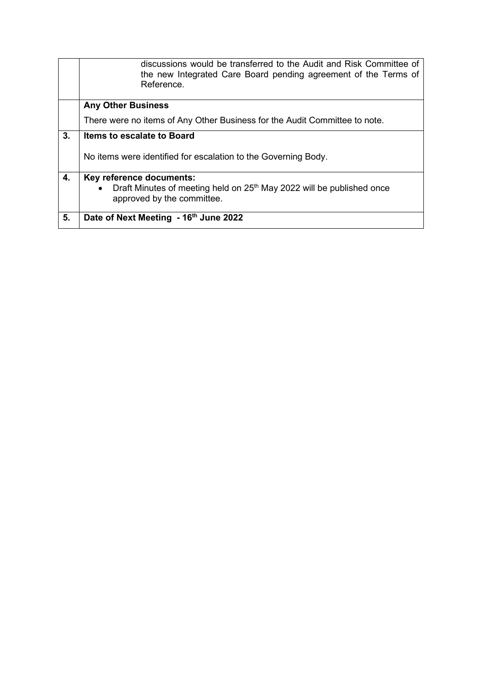|    | discussions would be transferred to the Audit and Risk Committee of<br>the new Integrated Care Board pending agreement of the Terms of<br>Reference. |
|----|------------------------------------------------------------------------------------------------------------------------------------------------------|
|    | <b>Any Other Business</b>                                                                                                                            |
|    | There were no items of Any Other Business for the Audit Committee to note.                                                                           |
| 3. | Items to escalate to Board                                                                                                                           |
|    | No items were identified for escalation to the Governing Body.                                                                                       |
| 4. | Key reference documents:                                                                                                                             |
|    | Draft Minutes of meeting held on 25 <sup>th</sup> May 2022 will be published once<br>$\bullet$<br>approved by the committee.                         |
| 5. | Date of Next Meeting - 16th June 2022                                                                                                                |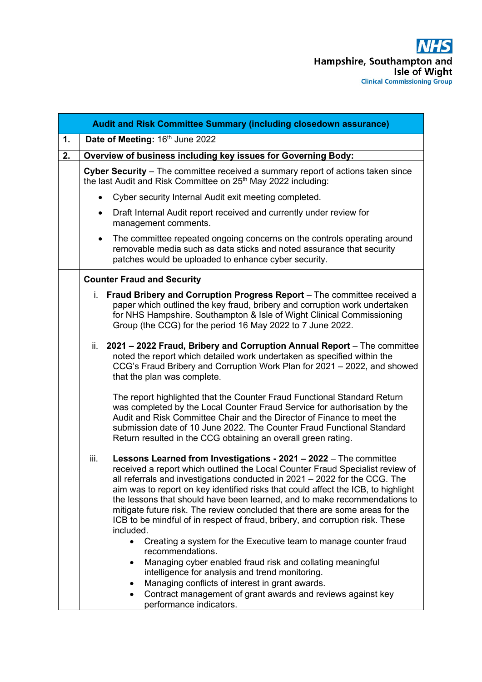|    | Audit and Risk Committee Summary (including closedown assurance)                                                                                                                                                                                                                                                                                                                                                                                                                                                                                                                         |
|----|------------------------------------------------------------------------------------------------------------------------------------------------------------------------------------------------------------------------------------------------------------------------------------------------------------------------------------------------------------------------------------------------------------------------------------------------------------------------------------------------------------------------------------------------------------------------------------------|
| 1. | Date of Meeting: 16th June 2022                                                                                                                                                                                                                                                                                                                                                                                                                                                                                                                                                          |
| 2. | Overview of business including key issues for Governing Body:                                                                                                                                                                                                                                                                                                                                                                                                                                                                                                                            |
|    | Cyber Security - The committee received a summary report of actions taken since<br>the last Audit and Risk Committee on 25 <sup>th</sup> May 2022 including:                                                                                                                                                                                                                                                                                                                                                                                                                             |
|    | Cyber security Internal Audit exit meeting completed.<br>$\bullet$                                                                                                                                                                                                                                                                                                                                                                                                                                                                                                                       |
|    | Draft Internal Audit report received and currently under review for<br>$\bullet$<br>management comments.                                                                                                                                                                                                                                                                                                                                                                                                                                                                                 |
|    | The committee repeated ongoing concerns on the controls operating around<br>$\bullet$<br>removable media such as data sticks and noted assurance that security<br>patches would be uploaded to enhance cyber security.                                                                                                                                                                                                                                                                                                                                                                   |
|    | <b>Counter Fraud and Security</b>                                                                                                                                                                                                                                                                                                                                                                                                                                                                                                                                                        |
|    | i. Fraud Bribery and Corruption Progress Report – The committee received a<br>paper which outlined the key fraud, bribery and corruption work undertaken<br>for NHS Hampshire. Southampton & Isle of Wight Clinical Commissioning<br>Group (the CCG) for the period 16 May 2022 to 7 June 2022.                                                                                                                                                                                                                                                                                          |
|    | ii. 2021 - 2022 Fraud, Bribery and Corruption Annual Report - The committee<br>noted the report which detailed work undertaken as specified within the<br>CCG's Fraud Bribery and Corruption Work Plan for 2021 - 2022, and showed<br>that the plan was complete.                                                                                                                                                                                                                                                                                                                        |
|    | The report highlighted that the Counter Fraud Functional Standard Return<br>was completed by the Local Counter Fraud Service for authorisation by the<br>Audit and Risk Committee Chair and the Director of Finance to meet the<br>submission date of 10 June 2022. The Counter Fraud Functional Standard<br>Return resulted in the CCG obtaining an overall green rating.                                                                                                                                                                                                               |
|    | iii.<br>Lessons Learned from Investigations - 2021 - 2022 - The committee<br>received a report which outlined the Local Counter Fraud Specialist review of<br>all referrals and investigations conducted in 2021 - 2022 for the CCG. The<br>aim was to report on key identified risks that could affect the ICB, to highlight<br>the lessons that should have been learned, and to make recommendations to<br>mitigate future risk. The review concluded that there are some areas for the<br>ICB to be mindful of in respect of fraud, bribery, and corruption risk. These<br>included. |
|    | Creating a system for the Executive team to manage counter fraud<br>$\bullet$<br>recommendations.<br>Managing cyber enabled fraud risk and collating meaningful<br>intelligence for analysis and trend monitoring.<br>Managing conflicts of interest in grant awards.<br>Contract management of grant awards and reviews against key<br>performance indicators.                                                                                                                                                                                                                          |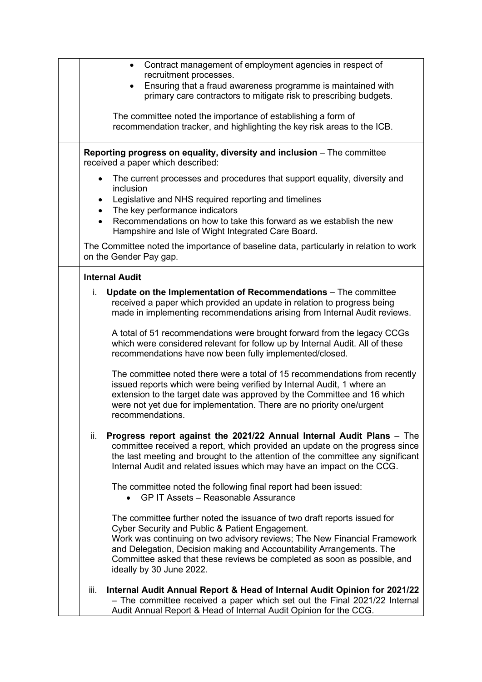| Contract management of employment agencies in respect of<br>$\bullet$<br>recruitment processes.                                                                                                                                                                                                                                                                                         |
|-----------------------------------------------------------------------------------------------------------------------------------------------------------------------------------------------------------------------------------------------------------------------------------------------------------------------------------------------------------------------------------------|
| Ensuring that a fraud awareness programme is maintained with<br>primary care contractors to mitigate risk to prescribing budgets.                                                                                                                                                                                                                                                       |
| The committee noted the importance of establishing a form of<br>recommendation tracker, and highlighting the key risk areas to the ICB.                                                                                                                                                                                                                                                 |
| Reporting progress on equality, diversity and inclusion - The committee<br>received a paper which described:                                                                                                                                                                                                                                                                            |
| The current processes and procedures that support equality, diversity and<br>$\bullet$<br>inclusion                                                                                                                                                                                                                                                                                     |
| Legislative and NHS required reporting and timelines<br>The key performance indicators<br>Recommendations on how to take this forward as we establish the new<br>$\bullet$<br>Hampshire and Isle of Wight Integrated Care Board.                                                                                                                                                        |
| The Committee noted the importance of baseline data, particularly in relation to work<br>on the Gender Pay gap.                                                                                                                                                                                                                                                                         |
| <b>Internal Audit</b>                                                                                                                                                                                                                                                                                                                                                                   |
| i.<br>Update on the Implementation of Recommendations - The committee<br>received a paper which provided an update in relation to progress being<br>made in implementing recommendations arising from Internal Audit reviews.                                                                                                                                                           |
| A total of 51 recommendations were brought forward from the legacy CCGs<br>which were considered relevant for follow up by Internal Audit. All of these<br>recommendations have now been fully implemented/closed.                                                                                                                                                                      |
| The committee noted there were a total of 15 recommendations from recently<br>issued reports which were being verified by Internal Audit, 1 where an<br>extension to the target date was approved by the Committee and 16 which<br>were not yet due for implementation. There are no priority one/urgent<br>recommendations.                                                            |
| ii.<br>Progress report against the 2021/22 Annual Internal Audit Plans - The<br>committee received a report, which provided an update on the progress since<br>the last meeting and brought to the attention of the committee any significant<br>Internal Audit and related issues which may have an impact on the CCG.                                                                 |
| The committee noted the following final report had been issued:<br><b>GP IT Assets - Reasonable Assurance</b>                                                                                                                                                                                                                                                                           |
| The committee further noted the issuance of two draft reports issued for<br>Cyber Security and Public & Patient Engagement.<br>Work was continuing on two advisory reviews; The New Financial Framework<br>and Delegation, Decision making and Accountability Arrangements. The<br>Committee asked that these reviews be completed as soon as possible, and<br>ideally by 30 June 2022. |
| Internal Audit Annual Report & Head of Internal Audit Opinion for 2021/22<br>iii.<br>- The committee received a paper which set out the Final 2021/22 Internal<br>Audit Annual Report & Head of Internal Audit Opinion for the CCG.                                                                                                                                                     |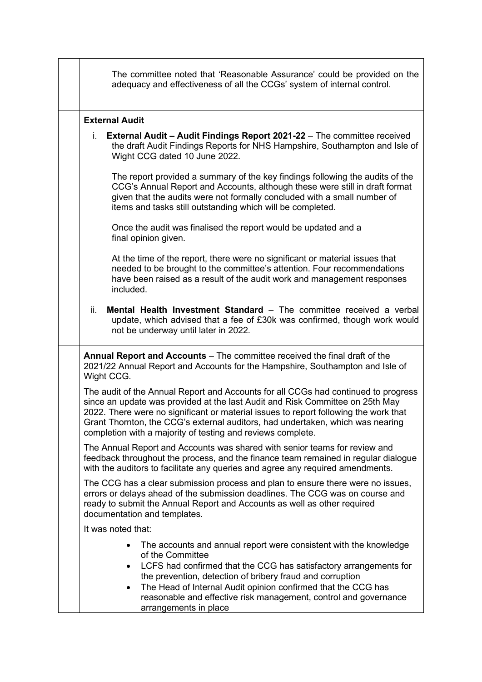| The committee noted that 'Reasonable Assurance' could be provided on the<br>adequacy and effectiveness of all the CCGs' system of internal control.                                                                                                                                                                                                                                                             |
|-----------------------------------------------------------------------------------------------------------------------------------------------------------------------------------------------------------------------------------------------------------------------------------------------------------------------------------------------------------------------------------------------------------------|
| <b>External Audit</b>                                                                                                                                                                                                                                                                                                                                                                                           |
| External Audit - Audit Findings Report 2021-22 - The committee received<br>i.<br>the draft Audit Findings Reports for NHS Hampshire, Southampton and Isle of<br>Wight CCG dated 10 June 2022.                                                                                                                                                                                                                   |
| The report provided a summary of the key findings following the audits of the<br>CCG's Annual Report and Accounts, although these were still in draft format<br>given that the audits were not formally concluded with a small number of<br>items and tasks still outstanding which will be completed.                                                                                                          |
| Once the audit was finalised the report would be updated and a<br>final opinion given.                                                                                                                                                                                                                                                                                                                          |
| At the time of the report, there were no significant or material issues that<br>needed to be brought to the committee's attention. Four recommendations<br>have been raised as a result of the audit work and management responses<br>included.                                                                                                                                                                 |
| Mental Health Investment Standard - The committee received a verbal<br>ii.<br>update, which advised that a fee of £30k was confirmed, though work would<br>not be underway until later in 2022.                                                                                                                                                                                                                 |
| Annual Report and Accounts - The committee received the final draft of the<br>2021/22 Annual Report and Accounts for the Hampshire, Southampton and Isle of<br>Wight CCG.                                                                                                                                                                                                                                       |
| The audit of the Annual Report and Accounts for all CCGs had continued to progress<br>since an update was provided at the last Audit and Risk Committee on 25th May<br>2022. There were no significant or material issues to report following the work that<br>Grant Thornton, the CCG's external auditors, had undertaken, which was nearing<br>completion with a majority of testing and reviews complete.    |
| The Annual Report and Accounts was shared with senior teams for review and<br>feedback throughout the process, and the finance team remained in regular dialogue<br>with the auditors to facilitate any queries and agree any required amendments.                                                                                                                                                              |
| The CCG has a clear submission process and plan to ensure there were no issues,<br>errors or delays ahead of the submission deadlines. The CCG was on course and<br>ready to submit the Annual Report and Accounts as well as other required<br>documentation and templates.                                                                                                                                    |
| It was noted that:                                                                                                                                                                                                                                                                                                                                                                                              |
| The accounts and annual report were consistent with the knowledge<br>of the Committee<br>LCFS had confirmed that the CCG has satisfactory arrangements for<br>$\bullet$<br>the prevention, detection of bribery fraud and corruption<br>The Head of Internal Audit opinion confirmed that the CCG has<br>$\bullet$<br>reasonable and effective risk management, control and governance<br>arrangements in place |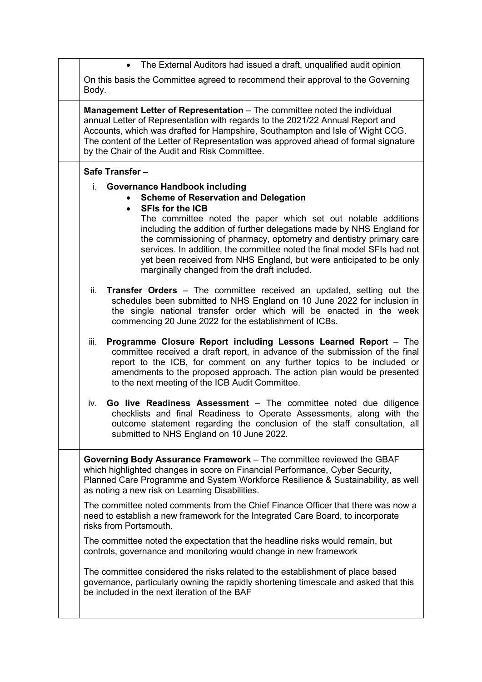• The External Auditors had issued a draft, unqualified audit opinion On this basis the Committee agreed to recommend their approval to the Governing Body. **Management Letter of Representation** – The committee noted the individual annual Letter of Representation with regards to the 2021/22 Annual Report and Accounts, which was drafted for Hampshire, Southampton and Isle of Wight CCG. The content of the Letter of Representation was approved ahead of formal signature by the Chair of the Audit and Risk Committee. **Safe Transfer –** i. **Governance Handbook including** • **Scheme of Reservation and Delegation** • **SFIs for the ICB** The committee noted the paper which set out notable additions including the addition of further delegations made by NHS England for the commissioning of pharmacy, optometry and dentistry primary care services. In addition, the committee noted the final model SFIs had not yet been received from NHS England, but were anticipated to be only marginally changed from the draft included. ii. **Transfer Orders** – The committee received an updated, setting out the schedules been submitted to NHS England on 10 June 2022 for inclusion in the single national transfer order which will be enacted in the week commencing 20 June 2022 for the establishment of ICBs. iii. **Programme Closure Report including Lessons Learned Report** – The committee received a draft report, in advance of the submission of the final report to the ICB, for comment on any further topics to be included or amendments to the proposed approach. The action plan would be presented to the next meeting of the ICB Audit Committee. iv. **Go live Readiness Assessment** – The committee noted due diligence checklists and final Readiness to Operate Assessments, along with the outcome statement regarding the conclusion of the staff consultation, all submitted to NHS England on 10 June 2022. **Governing Body Assurance Framework** – The committee reviewed the GBAF which highlighted changes in score on Financial Performance, Cyber Security, Planned Care Programme and System Workforce Resilience & Sustainability, as well as noting a new risk on Learning Disabilities. The committee noted comments from the Chief Finance Officer that there was now a need to establish a new framework for the Integrated Care Board, to incorporate risks from Portsmouth. The committee noted the expectation that the headline risks would remain, but controls, governance and monitoring would change in new framework The committee considered the risks related to the establishment of place based governance, particularly owning the rapidly shortening timescale and asked that this be included in the next iteration of the BAF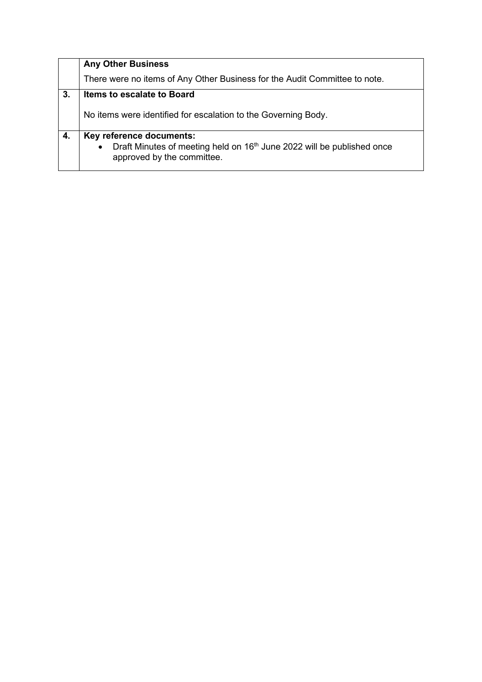|    | <b>Any Other Business</b>                                                                                                     |
|----|-------------------------------------------------------------------------------------------------------------------------------|
|    | There were no items of Any Other Business for the Audit Committee to note.                                                    |
| 3. | <b>Items to escalate to Board</b>                                                                                             |
|    | No items were identified for escalation to the Governing Body.                                                                |
| 4. | Key reference documents:                                                                                                      |
|    | Draft Minutes of meeting held on 16 <sup>th</sup> June 2022 will be published once<br>$\bullet$<br>approved by the committee. |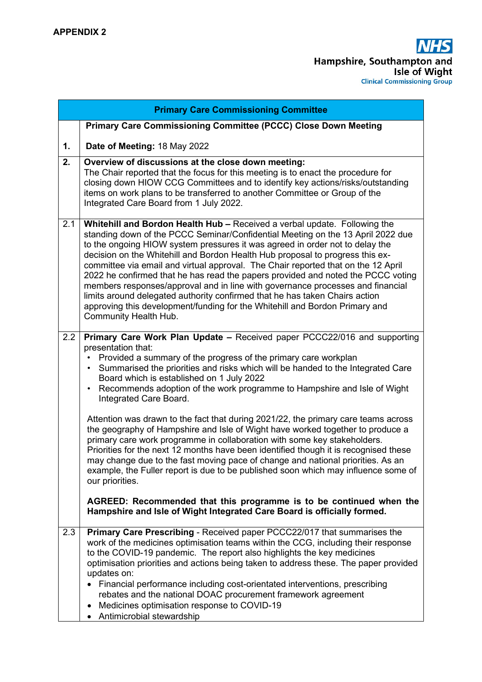| <b>Primary Care Commissioning Committee</b> |                                                                                                                                                                                                                                                                                                                                                                                                                                                                                                                                                                                                                                                                                                                                                                                                                                                                                                                                                                                                                                                                                                                             |  |  |  |
|---------------------------------------------|-----------------------------------------------------------------------------------------------------------------------------------------------------------------------------------------------------------------------------------------------------------------------------------------------------------------------------------------------------------------------------------------------------------------------------------------------------------------------------------------------------------------------------------------------------------------------------------------------------------------------------------------------------------------------------------------------------------------------------------------------------------------------------------------------------------------------------------------------------------------------------------------------------------------------------------------------------------------------------------------------------------------------------------------------------------------------------------------------------------------------------|--|--|--|
|                                             | Primary Care Commissioning Committee (PCCC) Close Down Meeting                                                                                                                                                                                                                                                                                                                                                                                                                                                                                                                                                                                                                                                                                                                                                                                                                                                                                                                                                                                                                                                              |  |  |  |
| 1.                                          | Date of Meeting: 18 May 2022                                                                                                                                                                                                                                                                                                                                                                                                                                                                                                                                                                                                                                                                                                                                                                                                                                                                                                                                                                                                                                                                                                |  |  |  |
| 2.                                          | Overview of discussions at the close down meeting:<br>The Chair reported that the focus for this meeting is to enact the procedure for<br>closing down HIOW CCG Committees and to identify key actions/risks/outstanding<br>items on work plans to be transferred to another Committee or Group of the<br>Integrated Care Board from 1 July 2022.                                                                                                                                                                                                                                                                                                                                                                                                                                                                                                                                                                                                                                                                                                                                                                           |  |  |  |
| 2.1                                         | <b>Whitehill and Bordon Health Hub - Received a verbal update. Following the</b><br>standing down of the PCCC Seminar/Confidential Meeting on the 13 April 2022 due<br>to the ongoing HIOW system pressures it was agreed in order not to delay the<br>decision on the Whitehill and Bordon Health Hub proposal to progress this ex-<br>committee via email and virtual approval. The Chair reported that on the 12 April<br>2022 he confirmed that he has read the papers provided and noted the PCCC voting<br>members responses/approval and in line with governance processes and financial<br>limits around delegated authority confirmed that he has taken Chairs action<br>approving this development/funding for the Whitehill and Bordon Primary and<br>Community Health Hub.                                                                                                                                                                                                                                                                                                                                      |  |  |  |
| 2.2                                         | Primary Care Work Plan Update - Received paper PCCC22/016 and supporting<br>presentation that:<br>Provided a summary of the progress of the primary care workplan<br>Summarised the priorities and risks which will be handed to the Integrated Care<br>$\bullet$<br>Board which is established on 1 July 2022<br>Recommends adoption of the work programme to Hampshire and Isle of Wight<br>$\bullet$<br>Integrated Care Board.<br>Attention was drawn to the fact that during 2021/22, the primary care teams across<br>the geography of Hampshire and Isle of Wight have worked together to produce a<br>primary care work programme in collaboration with some key stakeholders.<br>Priorities for the next 12 months have been identified though it is recognised these<br>may change due to the fast moving pace of change and national priorities. As an<br>example, the Fuller report is due to be published soon which may influence some of<br>our priorities.<br>AGREED: Recommended that this programme is to be continued when the<br>Hampshire and Isle of Wight Integrated Care Board is officially formed. |  |  |  |
| 2.3                                         | Primary Care Prescribing - Received paper PCCC22/017 that summarises the<br>work of the medicines optimisation teams within the CCG, including their response<br>to the COVID-19 pandemic. The report also highlights the key medicines<br>optimisation priorities and actions being taken to address these. The paper provided<br>updates on:<br>• Financial performance including cost-orientated interventions, prescribing<br>rebates and the national DOAC procurement framework agreement<br>Medicines optimisation response to COVID-19<br>$\bullet$<br>Antimicrobial stewardship<br>$\bullet$                                                                                                                                                                                                                                                                                                                                                                                                                                                                                                                       |  |  |  |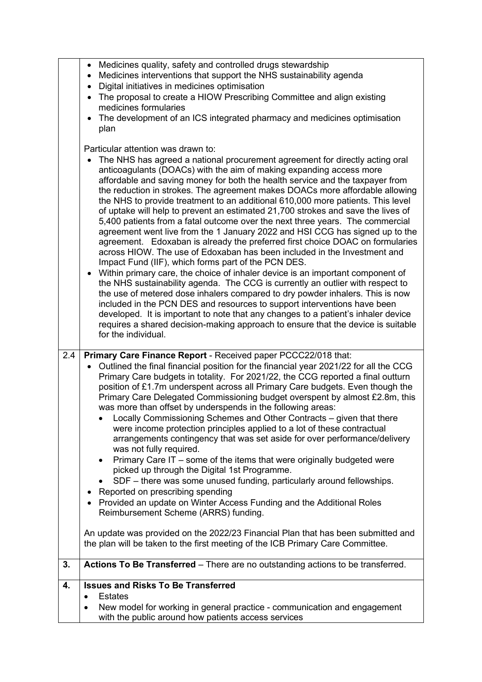|                   | Medicines quality, safety and controlled drugs stewardship<br>$\bullet$<br>Medicines interventions that support the NHS sustainability agenda                                                                                                                                                                                                                                                                                                                                                                                                                                                                                                                                                                                                                                                                                                                                                                                                                                                                                                                                                                                                                                                                                                                                                                                                                                                                                  |
|-------------------|--------------------------------------------------------------------------------------------------------------------------------------------------------------------------------------------------------------------------------------------------------------------------------------------------------------------------------------------------------------------------------------------------------------------------------------------------------------------------------------------------------------------------------------------------------------------------------------------------------------------------------------------------------------------------------------------------------------------------------------------------------------------------------------------------------------------------------------------------------------------------------------------------------------------------------------------------------------------------------------------------------------------------------------------------------------------------------------------------------------------------------------------------------------------------------------------------------------------------------------------------------------------------------------------------------------------------------------------------------------------------------------------------------------------------------|
|                   | $\bullet$<br>Digital initiatives in medicines optimisation<br>$\bullet$                                                                                                                                                                                                                                                                                                                                                                                                                                                                                                                                                                                                                                                                                                                                                                                                                                                                                                                                                                                                                                                                                                                                                                                                                                                                                                                                                        |
|                   | The proposal to create a HIOW Prescribing Committee and align existing<br>$\bullet$                                                                                                                                                                                                                                                                                                                                                                                                                                                                                                                                                                                                                                                                                                                                                                                                                                                                                                                                                                                                                                                                                                                                                                                                                                                                                                                                            |
|                   | medicines formularies<br>The development of an ICS integrated pharmacy and medicines optimisation<br>$\bullet$                                                                                                                                                                                                                                                                                                                                                                                                                                                                                                                                                                                                                                                                                                                                                                                                                                                                                                                                                                                                                                                                                                                                                                                                                                                                                                                 |
|                   | plan                                                                                                                                                                                                                                                                                                                                                                                                                                                                                                                                                                                                                                                                                                                                                                                                                                                                                                                                                                                                                                                                                                                                                                                                                                                                                                                                                                                                                           |
|                   | Particular attention was drawn to:                                                                                                                                                                                                                                                                                                                                                                                                                                                                                                                                                                                                                                                                                                                                                                                                                                                                                                                                                                                                                                                                                                                                                                                                                                                                                                                                                                                             |
|                   | The NHS has agreed a national procurement agreement for directly acting oral<br>anticoagulants (DOACs) with the aim of making expanding access more<br>affordable and saving money for both the health service and the taxpayer from<br>the reduction in strokes. The agreement makes DOACs more affordable allowing<br>the NHS to provide treatment to an additional 610,000 more patients. This level<br>of uptake will help to prevent an estimated 21,700 strokes and save the lives of<br>5,400 patients from a fatal outcome over the next three years. The commercial<br>agreement went live from the 1 January 2022 and HSI CCG has signed up to the<br>agreement. Edoxaban is already the preferred first choice DOAC on formularies<br>across HIOW. The use of Edoxaban has been included in the Investment and<br>Impact Fund (IIF), which forms part of the PCN DES.<br>Within primary care, the choice of inhaler device is an important component of<br>$\bullet$<br>the NHS sustainability agenda. The CCG is currently an outlier with respect to<br>the use of metered dose inhalers compared to dry powder inhalers. This is now<br>included in the PCN DES and resources to support interventions have been<br>developed. It is important to note that any changes to a patient's inhaler device<br>requires a shared decision-making approach to ensure that the device is suitable<br>for the individual. |
| $\overline{2}$ .4 | Primary Care Finance Report - Received paper PCCC22/018 that:                                                                                                                                                                                                                                                                                                                                                                                                                                                                                                                                                                                                                                                                                                                                                                                                                                                                                                                                                                                                                                                                                                                                                                                                                                                                                                                                                                  |
|                   | Outlined the final financial position for the financial year 2021/22 for all the CCG<br>Primary Care budgets in totality. For 2021/22, the CCG reported a final outturn<br>position of £1.7m underspent across all Primary Care budgets. Even though the<br>Primary Care Delegated Commissioning budget overspent by almost £2.8m, this                                                                                                                                                                                                                                                                                                                                                                                                                                                                                                                                                                                                                                                                                                                                                                                                                                                                                                                                                                                                                                                                                        |
|                   | was more than offset by underspends in the following areas:<br>Locally Commissioning Schemes and Other Contracts – given that there                                                                                                                                                                                                                                                                                                                                                                                                                                                                                                                                                                                                                                                                                                                                                                                                                                                                                                                                                                                                                                                                                                                                                                                                                                                                                            |
|                   | were income protection principles applied to a lot of these contractual<br>arrangements contingency that was set aside for over performance/delivery                                                                                                                                                                                                                                                                                                                                                                                                                                                                                                                                                                                                                                                                                                                                                                                                                                                                                                                                                                                                                                                                                                                                                                                                                                                                           |
|                   | was not fully required.<br>Primary Care IT - some of the items that were originally budgeted were<br>$\bullet$<br>picked up through the Digital 1st Programme.                                                                                                                                                                                                                                                                                                                                                                                                                                                                                                                                                                                                                                                                                                                                                                                                                                                                                                                                                                                                                                                                                                                                                                                                                                                                 |
|                   | SDF – there was some unused funding, particularly around fellowships.                                                                                                                                                                                                                                                                                                                                                                                                                                                                                                                                                                                                                                                                                                                                                                                                                                                                                                                                                                                                                                                                                                                                                                                                                                                                                                                                                          |
|                   | Reported on prescribing spending<br>٠<br>Provided an update on Winter Access Funding and the Additional Roles<br>$\bullet$                                                                                                                                                                                                                                                                                                                                                                                                                                                                                                                                                                                                                                                                                                                                                                                                                                                                                                                                                                                                                                                                                                                                                                                                                                                                                                     |
|                   | Reimbursement Scheme (ARRS) funding.                                                                                                                                                                                                                                                                                                                                                                                                                                                                                                                                                                                                                                                                                                                                                                                                                                                                                                                                                                                                                                                                                                                                                                                                                                                                                                                                                                                           |
|                   | An update was provided on the 2022/23 Financial Plan that has been submitted and<br>the plan will be taken to the first meeting of the ICB Primary Care Committee.                                                                                                                                                                                                                                                                                                                                                                                                                                                                                                                                                                                                                                                                                                                                                                                                                                                                                                                                                                                                                                                                                                                                                                                                                                                             |
| 3.                |                                                                                                                                                                                                                                                                                                                                                                                                                                                                                                                                                                                                                                                                                                                                                                                                                                                                                                                                                                                                                                                                                                                                                                                                                                                                                                                                                                                                                                |
|                   | Actions To Be Transferred - There are no outstanding actions to be transferred.                                                                                                                                                                                                                                                                                                                                                                                                                                                                                                                                                                                                                                                                                                                                                                                                                                                                                                                                                                                                                                                                                                                                                                                                                                                                                                                                                |
| 4.                | <b>Issues and Risks To Be Transferred</b>                                                                                                                                                                                                                                                                                                                                                                                                                                                                                                                                                                                                                                                                                                                                                                                                                                                                                                                                                                                                                                                                                                                                                                                                                                                                                                                                                                                      |
|                   | <b>Estates</b><br>$\bullet$<br>New model for working in general practice - communication and engagement<br>$\bullet$                                                                                                                                                                                                                                                                                                                                                                                                                                                                                                                                                                                                                                                                                                                                                                                                                                                                                                                                                                                                                                                                                                                                                                                                                                                                                                           |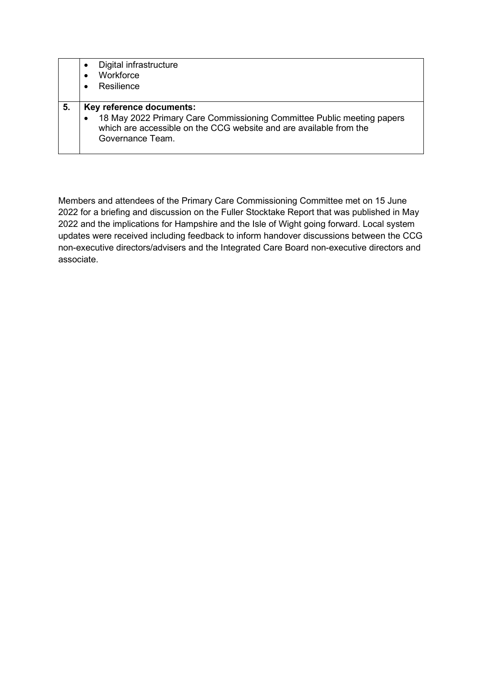|    | Digital infrastructure<br>$\bullet$<br>Workforce<br>$\bullet$<br>Resilience<br>$\bullet$                                                                                                                  |
|----|-----------------------------------------------------------------------------------------------------------------------------------------------------------------------------------------------------------|
| 5. | Key reference documents:<br>18 May 2022 Primary Care Commissioning Committee Public meeting papers<br>$\bullet$<br>which are accessible on the CCG website and are available from the<br>Governance Team. |

Members and attendees of the Primary Care Commissioning Committee met on 15 June 2022 for a briefing and discussion on the Fuller Stocktake Report that was published in May 2022 and the implications for Hampshire and the Isle of Wight going forward. Local system updates were received including feedback to inform handover discussions between the CCG non-executive directors/advisers and the Integrated Care Board non-executive directors and associate.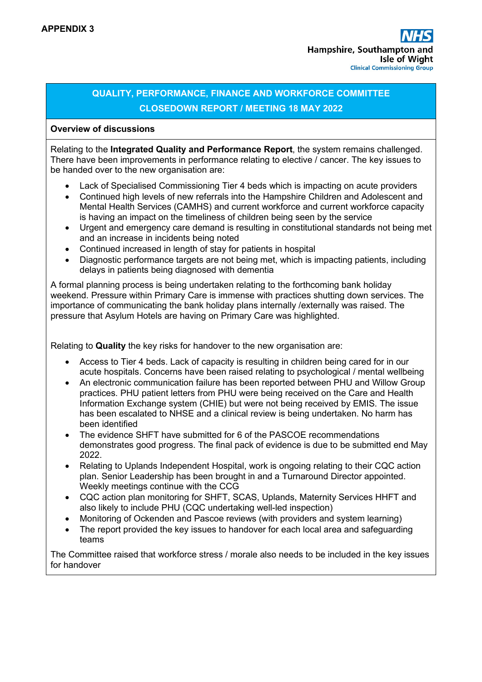### **QUALITY, PERFORMANCE, FINANCE AND WORKFORCE COMMITTEE CLOSEDOWN REPORT / MEETING 18 MAY 2022**

#### **Overview of discussions**

Relating to the **Integrated Quality and Performance Report**, the system remains challenged. There have been improvements in performance relating to elective  $\ell$  cancer. The key issues to be handed over to the new organisation are:

- Lack of Specialised Commissioning Tier 4 beds which is impacting on acute providers
- Continued high levels of new referrals into the Hampshire Children and Adolescent and Mental Health Services (CAMHS) and current workforce and current workforce capacity is having an impact on the timeliness of children being seen by the service
- Urgent and emergency care demand is resulting in constitutional standards not being met and an increase in incidents being noted
- Continued increased in length of stay for patients in hospital
- Diagnostic performance targets are not being met, which is impacting patients, including delays in patients being diagnosed with dementia

A formal planning process is being undertaken relating to the forthcoming bank holiday weekend. Pressure within Primary Care is immense with practices shutting down services. The importance of communicating the bank holiday plans internally /externally was raised. The pressure that Asylum Hotels are having on Primary Care was highlighted.

Relating to **Quality** the key risks for handover to the new organisation are:

- Access to Tier 4 beds. Lack of capacity is resulting in children being cared for in our acute hospitals. Concerns have been raised relating to psychological / mental wellbeing
- An electronic communication failure has been reported between PHU and Willow Group practices. PHU patient letters from PHU were being received on the Care and Health Information Exchange system (CHIE) but were not being received by EMIS. The issue has been escalated to NHSE and a clinical review is being undertaken. No harm has been identified
- The evidence SHFT have submitted for 6 of the PASCOE recommendations demonstrates good progress. The final pack of evidence is due to be submitted end May 2022.
- Relating to Uplands Independent Hospital, work is ongoing relating to their CQC action plan. Senior Leadership has been brought in and a Turnaround Director appointed. Weekly meetings continue with the CCG
- CQC action plan monitoring for SHFT, SCAS, Uplands, Maternity Services HHFT and also likely to include PHU (CQC undertaking well-led inspection)
- Monitoring of Ockenden and Pascoe reviews (with providers and system learning)
- The report provided the key issues to handover for each local area and safeguarding teams

The Committee raised that workforce stress / morale also needs to be included in the key issues for handover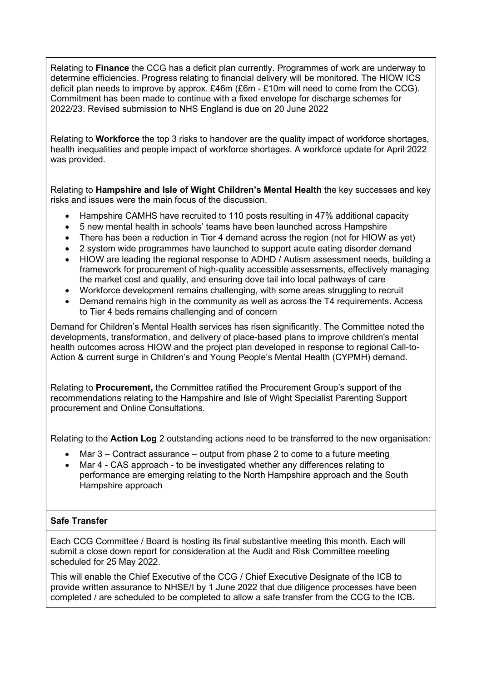Relating to **Finance** the CCG has a deficit plan currently. Programmes of work are underway to determine efficiencies. Progress relating to financial delivery will be monitored. The HIOW ICS deficit plan needs to improve by approx. £46m (£6m - £10m will need to come from the CCG). Commitment has been made to continue with a fixed envelope for discharge schemes for 2022/23. Revised submission to NHS England is due on 20 June 2022

Relating to **Workforce** the top 3 risks to handover are the quality impact of workforce shortages, health inequalities and people impact of workforce shortages. A workforce update for April 2022 was provided.

Relating to **Hampshire and Isle of Wight Children's Mental Health** the key successes and key risks and issues were the main focus of the discussion.

- Hampshire CAMHS have recruited to 110 posts resulting in 47% additional capacity
- 5 new mental health in schools' teams have been launched across Hampshire
- There has been a reduction in Tier 4 demand across the region (not for HIOW as vet)
- 2 system wide programmes have launched to support acute eating disorder demand
- HIOW are leading the regional response to ADHD / Autism assessment needs, building a framework for procurement of high-quality accessible assessments, effectively managing the market cost and quality, and ensuring dove tail into local pathways of care
- Workforce development remains challenging, with some areas struggling to recruit
- Demand remains high in the community as well as across the T4 requirements. Access to Tier 4 beds remains challenging and of concern

Demand for Children's Mental Health services has risen significantly. The Committee noted the developments, transformation, and delivery of place-based plans to improve children's mental health outcomes across HIOW and the project plan developed in response to regional Call-to-Action & current surge in Children's and Young People's Mental Health (CYPMH) demand.

Relating to **Procurement,** the Committee ratified the Procurement Group's support of the recommendations relating to the Hampshire and Isle of Wight Specialist Parenting Support procurement and Online Consultations.

Relating to the **Action Log** 2 outstanding actions need to be transferred to the new organisation:

- Mar  $3$  Contract assurance output from phase 2 to come to a future meeting
- Mar 4 CAS approach to be investigated whether any differences relating to performance are emerging relating to the North Hampshire approach and the South Hampshire approach

#### **Safe Transfer**

Each CCG Committee / Board is hosting its final substantive meeting this month. Each will submit a close down report for consideration at the Audit and Risk Committee meeting scheduled for 25 May 2022.

This will enable the Chief Executive of the CCG / Chief Executive Designate of the ICB to provide written assurance to NHSE/I by 1 June 2022 that due diligence processes have been completed / are scheduled to be completed to allow a safe transfer from the CCG to the ICB.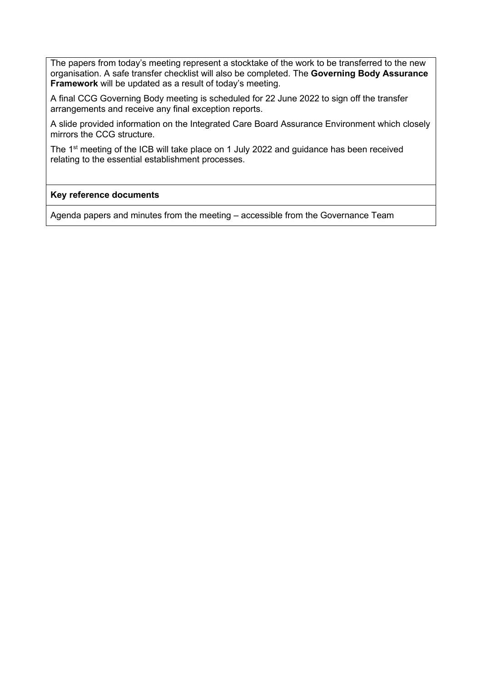The papers from today's meeting represent a stocktake of the work to be transferred to the new organisation. A safe transfer checklist will also be completed. The **Governing Body Assurance Framework** will be updated as a result of today's meeting.

A final CCG Governing Body meeting is scheduled for 22 June 2022 to sign off the transfer arrangements and receive any final exception reports.

A slide provided information on the Integrated Care Board Assurance Environment which closely mirrors the CCG structure.

The 1<sup>st</sup> meeting of the ICB will take place on 1 July 2022 and guidance has been received relating to the essential establishment processes.

#### **Key reference documents**

Agenda papers and minutes from the meeting – accessible from the Governance Team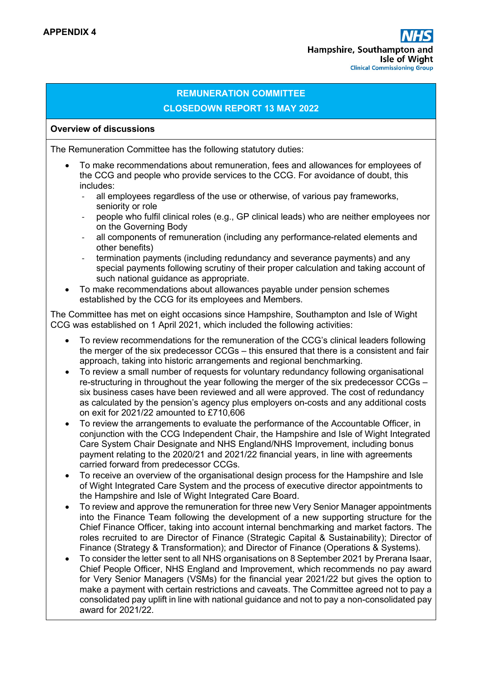#### **REMUNERATION COMMITTEE CLOSEDOWN REPORT 13 MAY 2022**

#### **Overview of discussions**

The Remuneration Committee has the following statutory duties:

- To make recommendations about remuneration, fees and allowances for employees of the CCG and people who provide services to the CCG. For avoidance of doubt, this includes:
	- all employees regardless of the use or otherwise, of various pay frameworks, seniority or role
	- ‐ people who fulfil clinical roles (e.g., GP clinical leads) who are neither employees nor on the Governing Body
	- ‐ all components of remuneration (including any performance-related elements and other benefits)
	- ‐ termination payments (including redundancy and severance payments) and any special payments following scrutiny of their proper calculation and taking account of such national guidance as appropriate.
- To make recommendations about allowances payable under pension schemes established by the CCG for its employees and Members.

The Committee has met on eight occasions since Hampshire, Southampton and Isle of Wight CCG was established on 1 April 2021, which included the following activities:

- To review recommendations for the remuneration of the CCG's clinical leaders following the merger of the six predecessor CCGs – this ensured that there is a consistent and fair approach, taking into historic arrangements and regional benchmarking.
- To review a small number of requests for voluntary redundancy following organisational re-structuring in throughout the year following the merger of the six predecessor CCGs – six business cases have been reviewed and all were approved. The cost of redundancy as calculated by the pension's agency plus employers on-costs and any additional costs on exit for 2021/22 amounted to £710,606
- To review the arrangements to evaluate the performance of the Accountable Officer, in conjunction with the CCG Independent Chair, the Hampshire and Isle of Wight Integrated Care System Chair Designate and NHS England/NHS Improvement, including bonus payment relating to the 2020/21 and 2021/22 financial years, in line with agreements carried forward from predecessor CCGs.
- To receive an overview of the organisational design process for the Hampshire and Isle of Wight Integrated Care System and the process of executive director appointments to the Hampshire and Isle of Wight Integrated Care Board.
- To review and approve the remuneration for three new Very Senior Manager appointments into the Finance Team following the development of a new supporting structure for the Chief Finance Officer, taking into account internal benchmarking and market factors. The roles recruited to are Director of Finance (Strategic Capital & Sustainability); Director of Finance (Strategy & Transformation); and Director of Finance (Operations & Systems).
- To consider the letter sent to all NHS organisations on 8 September 2021 by Prerana Isaar, Chief People Officer, NHS England and Improvement, which recommends no pay award for Very Senior Managers (VSMs) for the financial year 2021/22 but gives the option to make a payment with certain restrictions and caveats. The Committee agreed not to pay a consolidated pay uplift in line with national guidance and not to pay a non-consolidated pay award for 2021/22.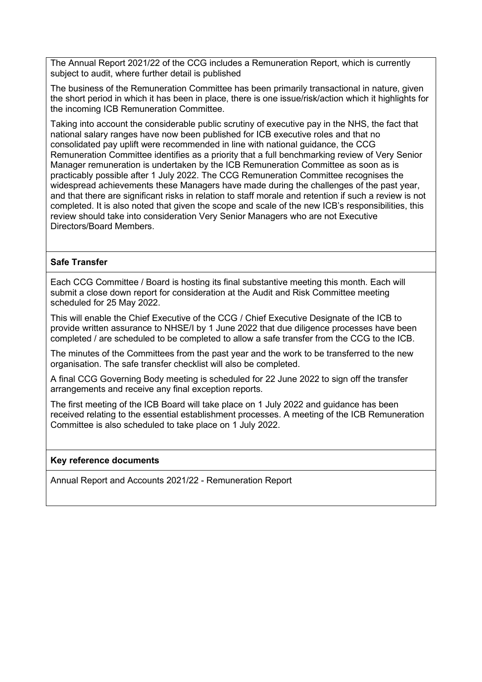The Annual Report 2021/22 of the CCG includes a Remuneration Report, which is currently subject to audit, where further detail is published

The business of the Remuneration Committee has been primarily transactional in nature, given the short period in which it has been in place, there is one issue/risk/action which it highlights for the incoming ICB Remuneration Committee.

Taking into account the considerable public scrutiny of executive pay in the NHS, the fact that national salary ranges have now been published for ICB executive roles and that no consolidated pay uplift were recommended in line with national guidance, the CCG Remuneration Committee identifies as a priority that a full benchmarking review of Very Senior Manager remuneration is undertaken by the ICB Remuneration Committee as soon as is practicably possible after 1 July 2022. The CCG Remuneration Committee recognises the widespread achievements these Managers have made during the challenges of the past year, and that there are significant risks in relation to staff morale and retention if such a review is not completed. It is also noted that given the scope and scale of the new ICB's responsibilities, this review should take into consideration Very Senior Managers who are not Executive Directors/Board Members.

#### **Safe Transfer**

Each CCG Committee / Board is hosting its final substantive meeting this month. Each will submit a close down report for consideration at the Audit and Risk Committee meeting scheduled for 25 May 2022.

This will enable the Chief Executive of the CCG / Chief Executive Designate of the ICB to provide written assurance to NHSE/I by 1 June 2022 that due diligence processes have been completed / are scheduled to be completed to allow a safe transfer from the CCG to the ICB.

The minutes of the Committees from the past year and the work to be transferred to the new organisation. The safe transfer checklist will also be completed.

A final CCG Governing Body meeting is scheduled for 22 June 2022 to sign off the transfer arrangements and receive any final exception reports.

The first meeting of the ICB Board will take place on 1 July 2022 and guidance has been received relating to the essential establishment processes. A meeting of the ICB Remuneration Committee is also scheduled to take place on 1 July 2022.

#### **Key reference documents**

Annual Report and Accounts 2021/22 - Remuneration Report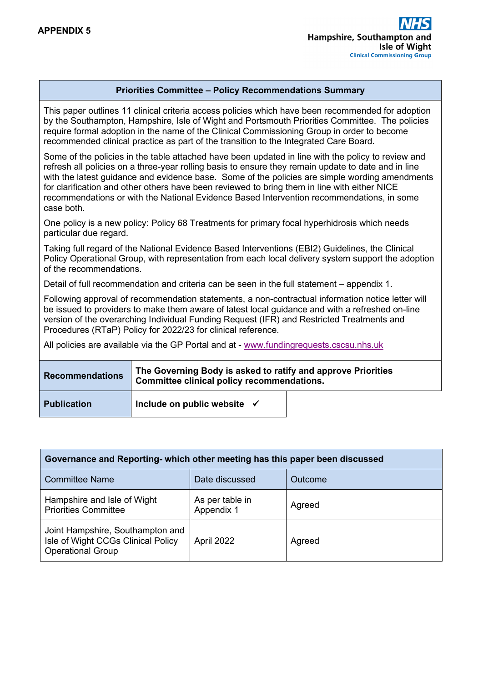#### **Priorities Committee – Policy Recommendations Summary**

This paper outlines 11 clinical criteria access policies which have been recommended for adoption by the Southampton, Hampshire, Isle of Wight and Portsmouth Priorities Committee. The policies require formal adoption in the name of the Clinical Commissioning Group in order to become recommended clinical practice as part of the transition to the Integrated Care Board.

Some of the policies in the table attached have been updated in line with the policy to review and refresh all policies on a three-year rolling basis to ensure they remain update to date and in line with the latest guidance and evidence base. Some of the policies are simple wording amendments for clarification and other others have been reviewed to bring them in line with either NICE recommendations or with the National Evidence Based Intervention recommendations, in some case both.

One policy is a new policy: Policy 68 Treatments for primary focal hyperhidrosis which needs particular due regard.

Taking full regard of the National Evidence Based Interventions (EBI2) Guidelines, the Clinical Policy Operational Group, with representation from each local delivery system support the adoption of the recommendations.

Detail of full recommendation and criteria can be seen in the full statement – appendix 1.

Following approval of recommendation statements, a non-contractual information notice letter will be issued to providers to make them aware of latest local guidance and with a refreshed on-line version of the overarching Individual Funding Request (IFR) and Restricted Treatments and Procedures (RTaP) Policy for 2022/23 for clinical reference.

All policies are available via the GP Portal and at - [www.fundingrequests.cscsu.nhs.uk](http://www.fundingrequests.cscsu.nhs.uk/)

| <b>Recommendations</b> | The Governing Body is asked to ratify and approve Priorities<br>Committee clinical policy recommendations. |  |  |
|------------------------|------------------------------------------------------------------------------------------------------------|--|--|
| <b>Publication</b>     | Include on public website $\checkmark$                                                                     |  |  |

| Governance and Reporting- which other meeting has this paper been discussed                        |                               |         |  |  |
|----------------------------------------------------------------------------------------------------|-------------------------------|---------|--|--|
| <b>Committee Name</b>                                                                              | Date discussed                | Outcome |  |  |
| Hampshire and Isle of Wight<br><b>Priorities Committee</b>                                         | As per table in<br>Appendix 1 | Agreed  |  |  |
| Joint Hampshire, Southampton and<br>Isle of Wight CCGs Clinical Policy<br><b>Operational Group</b> | April 2022                    | Agreed  |  |  |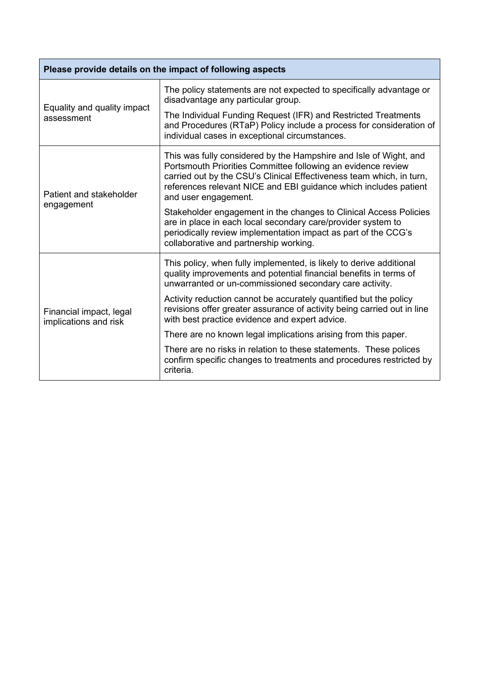| Please provide details on the impact of following aspects |                                                                                                                                                                                                                                                                                                       |  |  |
|-----------------------------------------------------------|-------------------------------------------------------------------------------------------------------------------------------------------------------------------------------------------------------------------------------------------------------------------------------------------------------|--|--|
| Equality and quality impact                               | The policy statements are not expected to specifically advantage or<br>disadvantage any particular group.                                                                                                                                                                                             |  |  |
| assessment                                                | The Individual Funding Request (IFR) and Restricted Treatments<br>and Procedures (RTaP) Policy include a process for consideration of<br>individual cases in exceptional circumstances.                                                                                                               |  |  |
| Patient and stakeholder                                   | This was fully considered by the Hampshire and Isle of Wight, and<br>Portsmouth Priorities Committee following an evidence review<br>carried out by the CSU's Clinical Effectiveness team which, in turn,<br>references relevant NICE and EBI guidance which includes patient<br>and user engagement. |  |  |
| engagement                                                | Stakeholder engagement in the changes to Clinical Access Policies<br>are in place in each local secondary care/provider system to<br>periodically review implementation impact as part of the CCG's<br>collaborative and partnership working.                                                         |  |  |
|                                                           | This policy, when fully implemented, is likely to derive additional<br>quality improvements and potential financial benefits in terms of<br>unwarranted or un-commissioned secondary care activity.                                                                                                   |  |  |
| Financial impact, legal<br>implications and risk          | Activity reduction cannot be accurately quantified but the policy<br>revisions offer greater assurance of activity being carried out in line<br>with best practice evidence and expert advice.                                                                                                        |  |  |
|                                                           | There are no known legal implications arising from this paper.                                                                                                                                                                                                                                        |  |  |
|                                                           | There are no risks in relation to these statements. These polices<br>confirm specific changes to treatments and procedures restricted by<br>criteria.                                                                                                                                                 |  |  |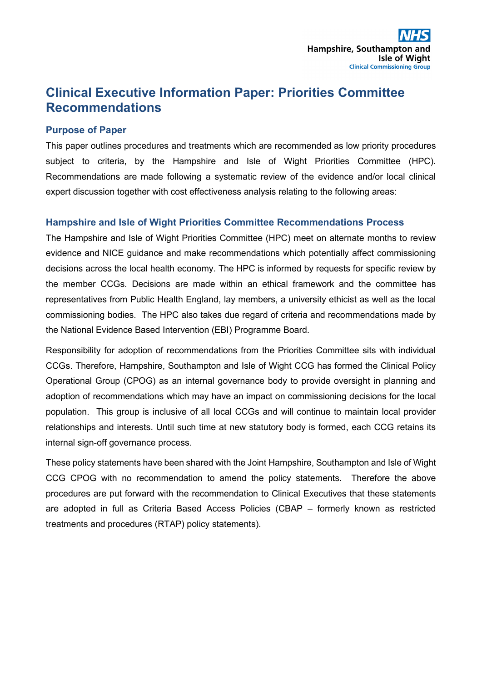## **Clinical Executive Information Paper: Priorities Committee Recommendations**

#### **Purpose of Paper**

This paper outlines procedures and treatments which are recommended as low priority procedures subject to criteria, by the Hampshire and Isle of Wight Priorities Committee (HPC). Recommendations are made following a systematic review of the evidence and/or local clinical expert discussion together with cost effectiveness analysis relating to the following areas:

#### **Hampshire and Isle of Wight Priorities Committee Recommendations Process**

The Hampshire and Isle of Wight Priorities Committee (HPC) meet on alternate months to review evidence and NICE guidance and make recommendations which potentially affect commissioning decisions across the local health economy. The HPC is informed by requests for specific review by the member CCGs. Decisions are made within an ethical framework and the committee has representatives from Public Health England, lay members, a university ethicist as well as the local commissioning bodies. The HPC also takes due regard of criteria and recommendations made by the National Evidence Based Intervention (EBI) Programme Board.

Responsibility for adoption of recommendations from the Priorities Committee sits with individual CCGs. Therefore, Hampshire, Southampton and Isle of Wight CCG has formed the Clinical Policy Operational Group (CPOG) as an internal governance body to provide oversight in planning and adoption of recommendations which may have an impact on commissioning decisions for the local population. This group is inclusive of all local CCGs and will continue to maintain local provider relationships and interests. Until such time at new statutory body is formed, each CCG retains its internal sign-off governance process.

These policy statements have been shared with the Joint Hampshire, Southampton and Isle of Wight CCG CPOG with no recommendation to amend the policy statements. Therefore the above procedures are put forward with the recommendation to Clinical Executives that these statements are adopted in full as Criteria Based Access Policies (CBAP – formerly known as restricted treatments and procedures (RTAP) policy statements).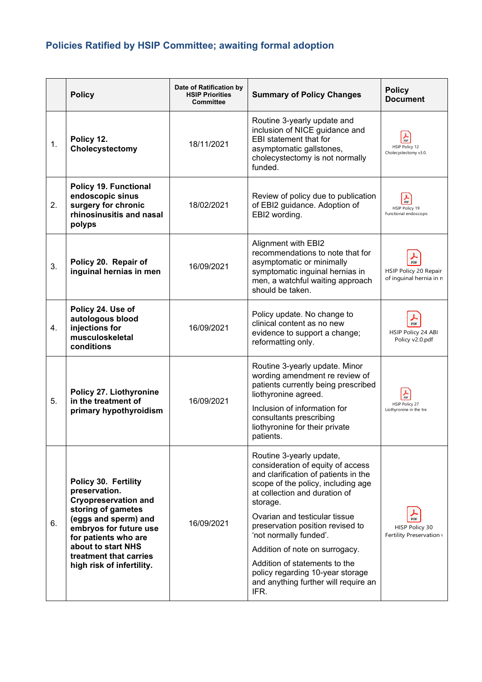# **Policies Ratified by HSIP Committee; awaiting formal adoption**

|    | <b>Policy</b>                                                                                                                                                                                                                                     | Date of Ratification by<br><b>HSIP Priorities</b><br><b>Committee</b> | <b>Summary of Policy Changes</b>                                                                                                                                                                                                                                                                                                                                                                                                               | <b>Policy</b><br><b>Document</b>                        |
|----|---------------------------------------------------------------------------------------------------------------------------------------------------------------------------------------------------------------------------------------------------|-----------------------------------------------------------------------|------------------------------------------------------------------------------------------------------------------------------------------------------------------------------------------------------------------------------------------------------------------------------------------------------------------------------------------------------------------------------------------------------------------------------------------------|---------------------------------------------------------|
| 1. | Policy 12.<br>Cholecystectomy                                                                                                                                                                                                                     | 18/11/2021                                                            | Routine 3-yearly update and<br>inclusion of NICE guidance and<br>EBI statement that for<br>asymptomatic gallstones,<br>cholecystectomy is not normally<br>funded.                                                                                                                                                                                                                                                                              | <b>HSIP Policy 12</b><br>Cholecystectomy v3.0.          |
| 2. | <b>Policy 19. Functional</b><br>endoscopic sinus<br>surgery for chronic<br>rhinosinusitis and nasal<br>polyps                                                                                                                                     | 18/02/2021                                                            | Review of policy due to publication<br>of EBI2 guidance. Adoption of<br>EBI2 wording.                                                                                                                                                                                                                                                                                                                                                          | <b>HSIP Policy 19</b><br>Functional endoscopic          |
| 3. | Policy 20. Repair of<br>inguinal hernias in men                                                                                                                                                                                                   | 16/09/2021                                                            | Alignment with EBI2<br>recommendations to note that for<br>asymptomatic or minimally<br>symptomatic inguinal hernias in<br>men, a watchful waiting approach<br>should be taken.                                                                                                                                                                                                                                                                | PDF<br>HSIP Policy 20 Repair<br>of inguinal hernia in n |
| 4. | Policy 24. Use of<br>autologous blood<br>injections for<br>musculoskeletal<br>conditions                                                                                                                                                          | 16/09/2021                                                            | Policy update. No change to<br>clinical content as no new<br>evidence to support a change;<br>reformatting only.                                                                                                                                                                                                                                                                                                                               | <b>PDF</b><br>HSIP Policy 24 ABI<br>Policy v2.0.pdf     |
| 5. | Policy 27. Liothyronine<br>in the treatment of<br>primary hypothyroidism                                                                                                                                                                          | 16/09/2021                                                            | Routine 3-yearly update. Minor<br>wording amendment re review of<br>patients currently being prescribed<br>liothyronine agreed.<br>Inclusion of information for<br>consultants prescribing<br>liothyronine for their private<br>patients.                                                                                                                                                                                                      | <b>HSIP Policy 27</b><br>Liothyronine in the tre        |
| 6. | Policy 30. Fertility<br>preservation.<br><b>Cryopreservation and</b><br>storing of gametes<br>(eggs and sperm) and<br>embryos for future use<br>for patients who are<br>about to start NHS<br>treatment that carries<br>high risk of infertility. | 16/09/2021                                                            | Routine 3-yearly update,<br>consideration of equity of access<br>and clarification of patients in the<br>scope of the policy, including age<br>at collection and duration of<br>storage.<br>Ovarian and testicular tissue<br>preservation position revised to<br>'not normally funded'.<br>Addition of note on surrogacy.<br>Addition of statements to the<br>policy regarding 10-year storage<br>and anything further will require an<br>IFR. | HISP Policy 30<br>Fertility Preservation \              |